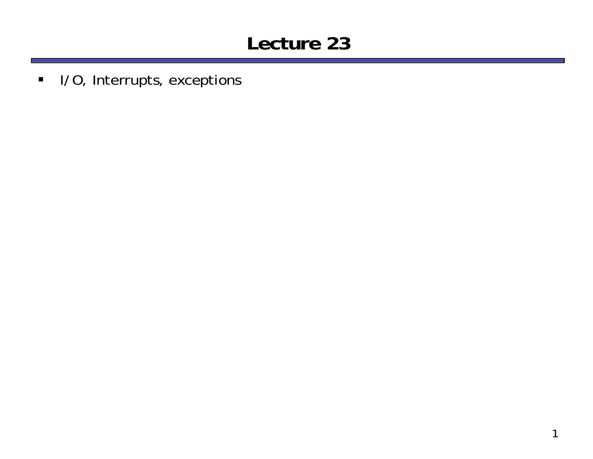#### **Lecture 23**

I/O, Interrupts, exceptions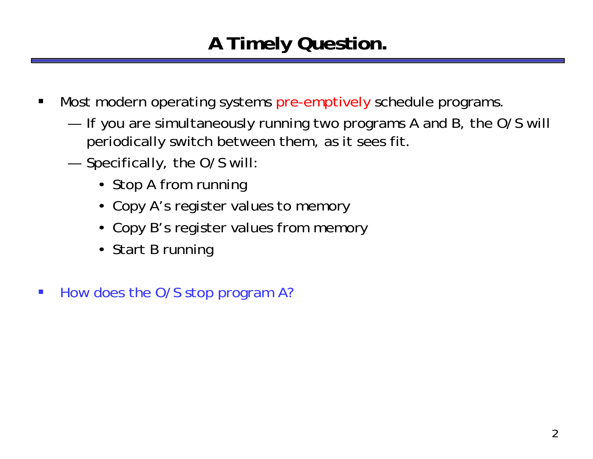# **A Timely Question.**

- $\blacksquare$  Most modern operating systems pre-emptively schedule programs.
	- — If you are simultaneously running two programs A and B, the O/S will periodically switch between them, as it sees fit.
	- — Specifically, the O/S will:
		- Stop A from running
		- Copy A's register values to memory
		- Copy B's register values from memory
		- Start B running
- $\mathcal{L}_{\mathcal{A}}$ How does the O/S stop program A?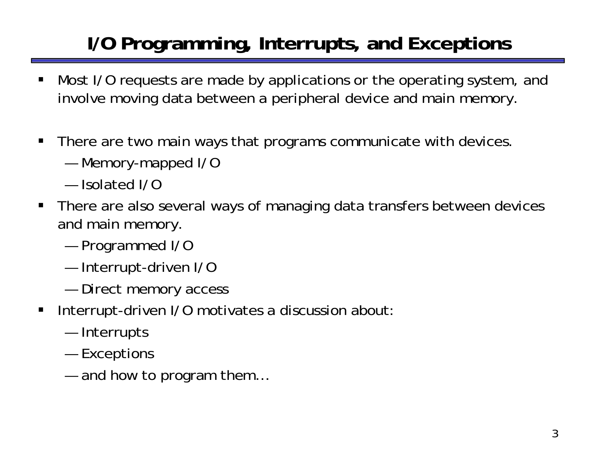# **I/O Programming, Interrupts, and Exceptions**

- ш Most I/O requests are made by applications or the operating system, and involve moving data between a peripheral device and main memory.
- $\blacksquare$  There are two main ways that programs communicate with devices.
	- —Memory-mapped I/O
	- Isolated I/O
- There are also several ways of managing data transfers between devices and main memory.
	- —Programmed I/O
	- —Interrupt-driven I/O
	- and the state of the state of the Direct memory access
- $\blacksquare$  Interrupt-driven I/O motivates a discussion about:
	- and the state of the state of the Interrupts
	- —**Exceptions**
	- and how to program them…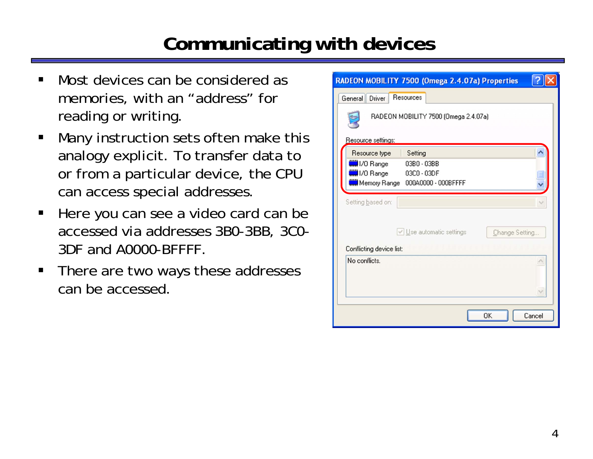#### **Communicating with devices**

- Most devices can be considered as memories, with an "address" for reading or writing.
- $\blacksquare$  Many instruction sets often make this analogy explicit. To transfer data to or from a particular device, the CPU can access special addresses.
- $\blacksquare$  Here you can see a video card can be accessed via addresses 3B0-3BB, 3C0- 3DF and A0000-BFFFF.
- $\blacksquare$  There are two ways these addresses can be accessed.

| RADEON MOBILITY 7500 (Omega 2.4.07a) Properties                                                                          |
|--------------------------------------------------------------------------------------------------------------------------|
| Resources<br>Driver<br>General                                                                                           |
| RADEON MOBILITY 7500 (Omega 2.4.07a)                                                                                     |
| Resource settings:<br>Resource type<br>Setting                                                                           |
| <b>WIN</b> I/O Range<br>03B0 - 03BB<br><b>WIN</b> I/O Range<br>03C0 - 03DF<br><b>WH</b> Memory Range 000A0000 · 000BFFFF |
| Setting based on:                                                                                                        |
| $\vee$ Use automatic settings<br>Change Setting                                                                          |
| Conflicting device list:                                                                                                 |
| No conflicts.                                                                                                            |
| OK<br>Cancel                                                                                                             |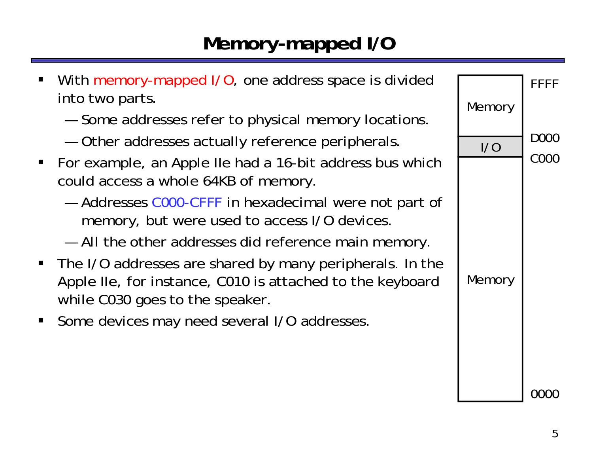### **Memory-mapped I/O**

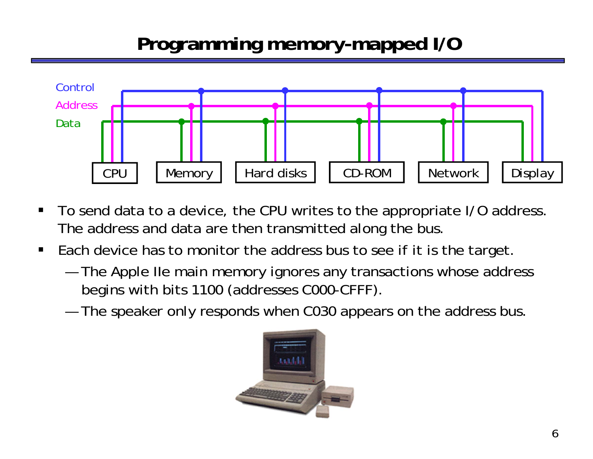# **Programming memory-mapped I/O**



- $\blacksquare$  To send data to a device, the CPU writes to the appropriate I/O address. The address and data are then transmitted along the bus.
- $\blacksquare$  Each device has to monitor the address bus to see if it is the target.
	- — The Apple IIe main memory ignores any transactions whose address begins with bits 1100 (addresses C000-CFFF).
	- —The speaker only responds when C030 appears on the address bus.

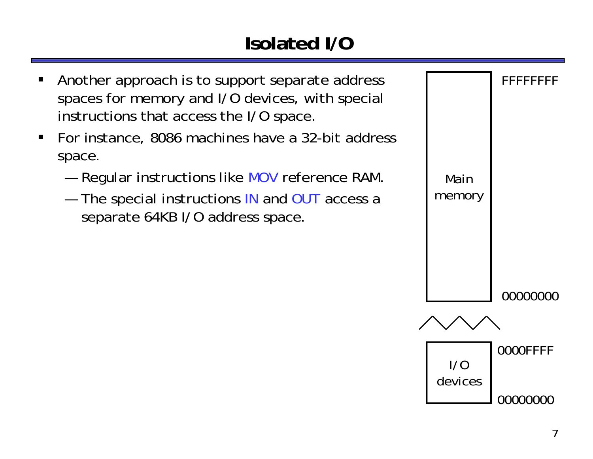# **Isolated I/O**

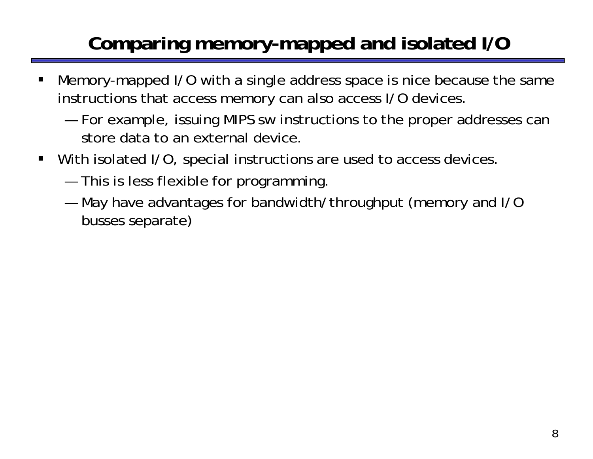# **Comparing memory-mapped and isolated I/O**

- ш Memory-mapped I/O with a single address space is nice because the same instructions that access memory can also access I/O devices.
	- — For example, issuing MIPS sw instructions to the proper addresses can store data to an external device.
- $\blacksquare$  With isolated I/O, special instructions are used to access devices.
	- and the state of the state of the This is less flexible for programming.
	- and the state of the state of the May have advantages for bandwidth/throughput (memory and I/O busses separate)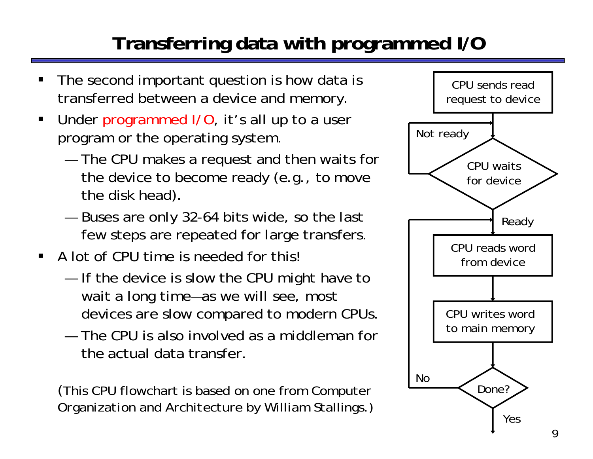# **Transferring data with programmed I/O**

- ш The second important question is how data is transferred between a device and memory.
- Under programmed I/O, it's all up to a user program or the operating system.
	- — The CPU makes a request and then waits for the device to become ready (*e.g.*, to move the disk head).
	- and the state of the state of the Buses are only 32-64 bits wide, so the last few steps are repeated for large transfers.
- A lot of CPU time is needed for this!
	- and the state of the state of the If the device is slow the CPU might have to wait a long time—as we will see, most devices *are* slow compared to modern CPUs.
	- The CPU is also involved as a middleman for the actual data transfer.

(This CPU flowchart is based on one from *Computer Organization and Architecture* by William Stallings.)

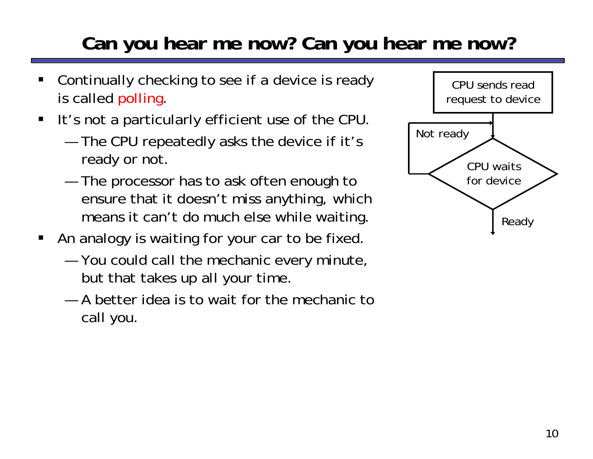### **Can you hear me now? Can you hear me now?**

- ш Continually checking to see if a device is ready is called polling.
- $\blacksquare$  It's not a particularly efficient use of the CPU.
	- — The CPU repeatedly asks the device if it's ready or not.
	- and the state of the state of the The processor has to ask often enough to ensure that it doesn't miss anything, which means it can't do much else while waiting.
- $\blacksquare$  An analogy is waiting for your car to be fixed.
	- and the state of the state of the You could call the mechanic every minute, but that takes up all your time.
	- A better idea is to wait for the mechanic to call *you*.

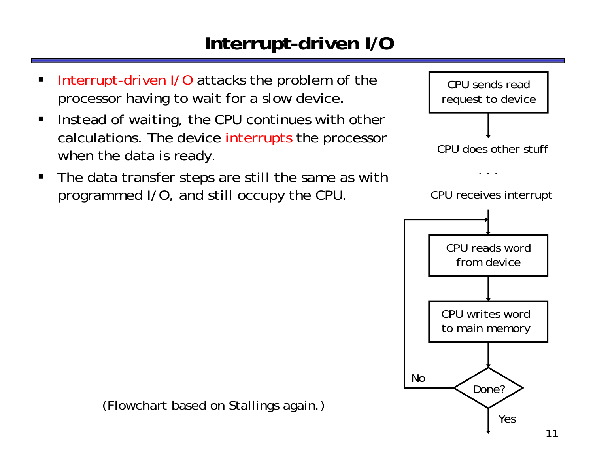### **Interrupt-driven I/O**

- ш Interrupt-driven I/O attacks the problem of the processor having to wait for a slow device.
- $\blacksquare$  Instead of waiting, the CPU continues with other calculations. The device interrupts the processor when the data is ready.
- $\blacksquare$  The data transfer steps are still the same as with programmed I/O, and still occupy the CPU.



(Flowchart based on Stallings again.)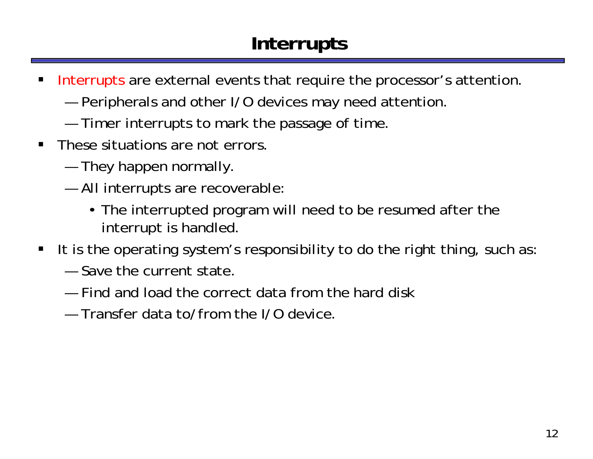# **Interrupts**

- $\blacksquare$  Interrupts are external events that require the processor's attention.
	- —Peripherals and other I/O devices may need attention.
	- —Timer interrupts to mark the passage of time.
- $\blacksquare$  These situations are not errors.
	- and the state of the state of the They happen normally.
	- and the state of the state of the All interrupts are recoverable:
		- The interrupted program will need to be resumed after the interrupt is handled.
- $\blacksquare$  It is the operating system's responsibility to do the right thing, such as:
	- Save the current state.
	- Find and load the correct data from the hard disk
	- Transfer data to/from the I/O device.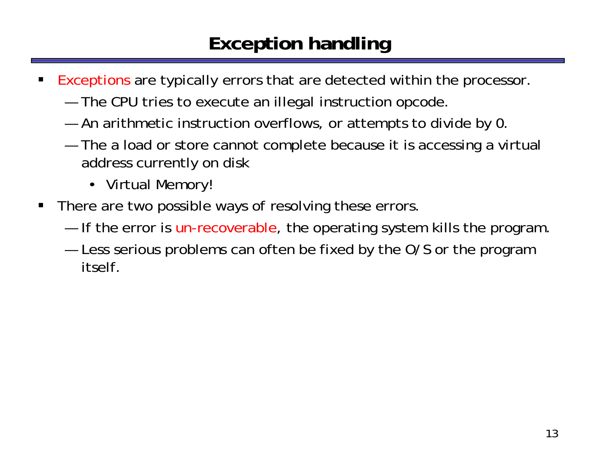### **Exception handling**

- ш Exceptions are typically errors that are detected within the processor.
	- —The CPU tries to execute an illegal instruction opcode.
	- —An arithmetic instruction overflows, or attempts to divide by 0.
	- and the state of the state of the The a load or store cannot complete because it is accessing a virtual address currently on disk
		- Virtual Memory!
- $\blacksquare$  There are two possible ways of resolving these errors.
	- —If the error is un-recoverable, the operating system kills the program.
	- — Less serious problems can often be fixed by the O/S or the program itself.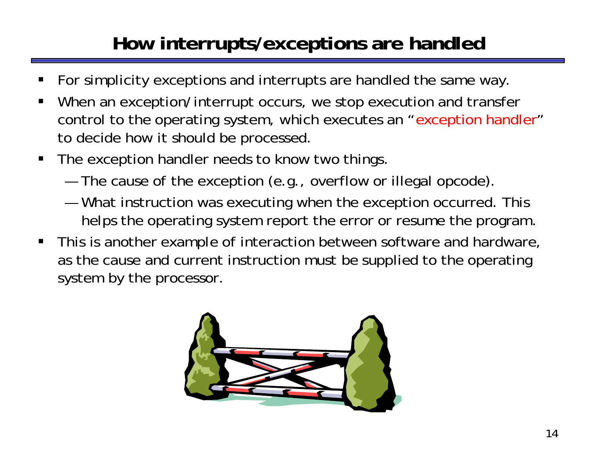# **How interrupts/exceptions are handled**

- ш For simplicity exceptions and interrupts are handled the same way.
- $\blacksquare$  When an exception/interrupt occurs, we stop execution and transfer control to the operating system, which executes an "exception handler" to decide how it should be processed.
- $\blacksquare$  The exception handler needs to know two things.
	- and the state of the state of the The cause of the exception (e.g., overflow or illegal opcode).
	- and the state of the state of the What instruction was executing when the exception occurred. This helps the operating system report the error or resume the program.
- $\blacksquare$  This is another example of interaction between software and hardware, as the cause and current instruction must be supplied to the operating system by the processor.

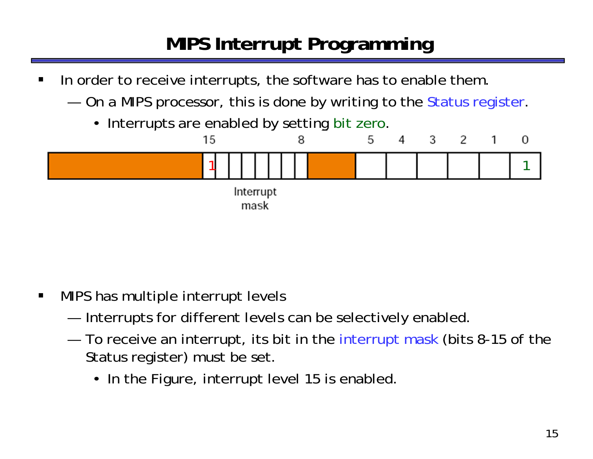# **MIPS Interrupt Programming**

- $\blacksquare$  In order to receive interrupts, the software has to enable them.
	- ———— On a MIPS processor, this is done by writing to the Status register.
		- $\bullet$ Interrupts are enabled by setting bit zero.



- $\blacksquare$  MIPS has multiple interrupt levels
	- ———— Interrupts for different levels can be selectively enabled.
	- — To receive an interrupt, its bit in the interrupt mask (bits 8-15 of the Status register) must be set.
		- In the Figure, interrupt level 15 is enabled.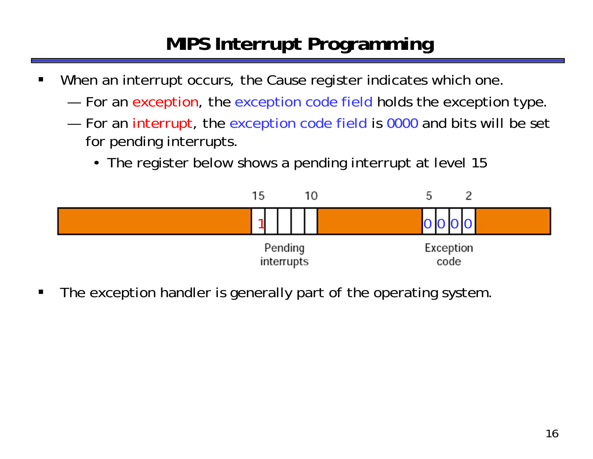# **MIPS Interrupt Programming**

- $\blacksquare$  When an interrupt occurs, the Cause register indicates which one.
	- ———— For an exception, the exception code field holds the exception type.
	- —For an interrupt, the exception code field is 0000 and bits will be set for pending interrupts.
		- The register below shows a pending interrupt at level 15



 $\blacksquare$ The exception handler is generally part of the operating system.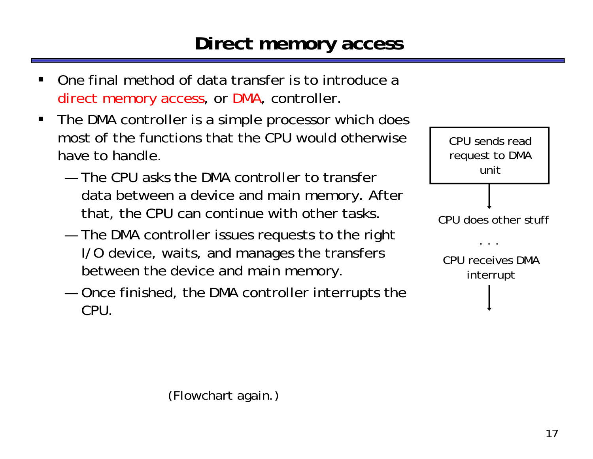#### **Direct memory access**

- ш One final method of data transfer is to introduce a direct memory access, or DMA, controller.
- $\blacksquare$  The DMA controller is a simple processor which does most of the functions that the CPU would otherwise have to handle.
	- The CPU asks the DMA controller to transfer data between a device and main memory. After that, the CPU can continue with other tasks.
	- and the state of the state of the The DMA controller issues requests to the right I/O device, waits, and manages the transfers between the device and main memory.
	- and the state of the state of the Once finished, the DMA controller interrupts the CPU.



(Flowchart again.)